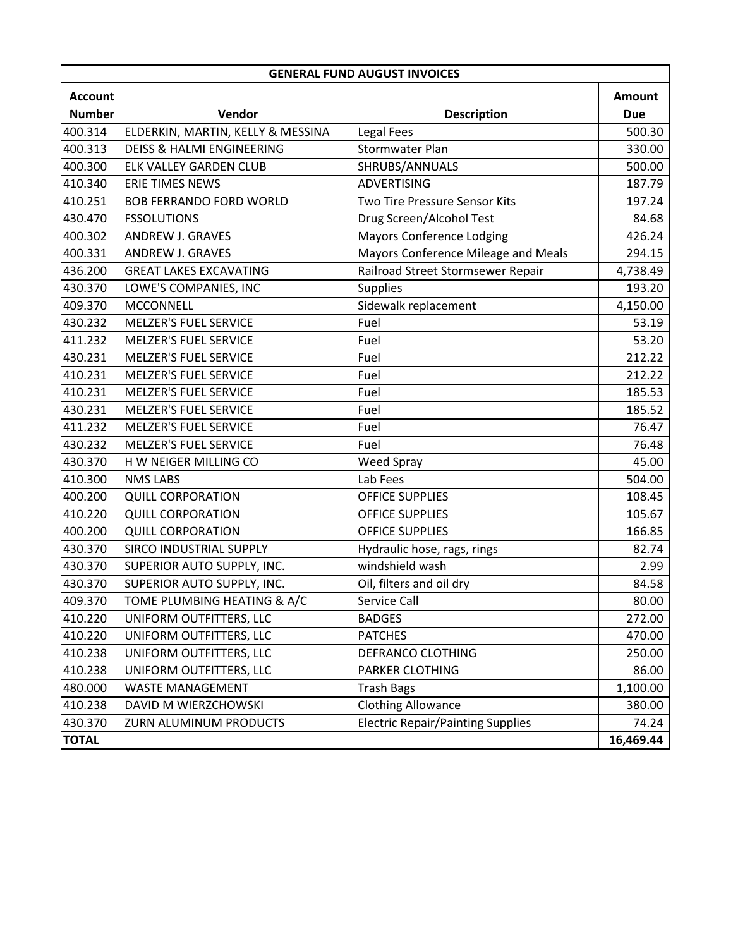| <b>GENERAL FUND AUGUST INVOICES</b> |                                      |                                          |               |  |  |  |
|-------------------------------------|--------------------------------------|------------------------------------------|---------------|--|--|--|
| <b>Account</b>                      |                                      |                                          | <b>Amount</b> |  |  |  |
| <b>Number</b>                       | Vendor                               | <b>Description</b>                       | <b>Due</b>    |  |  |  |
| 400.314                             | ELDERKIN, MARTIN, KELLY & MESSINA    | Legal Fees                               | 500.30        |  |  |  |
| 400.313                             | <b>DEISS &amp; HALMI ENGINEERING</b> | <b>Stormwater Plan</b>                   | 330.00        |  |  |  |
| 400.300                             | ELK VALLEY GARDEN CLUB               | SHRUBS/ANNUALS                           | 500.00        |  |  |  |
| 410.340                             | <b>ERIE TIMES NEWS</b>               | <b>ADVERTISING</b>                       | 187.79        |  |  |  |
| 410.251                             | <b>BOB FERRANDO FORD WORLD</b>       | Two Tire Pressure Sensor Kits            | 197.24        |  |  |  |
| 430.470                             | <b>FSSOLUTIONS</b>                   | Drug Screen/Alcohol Test                 | 84.68         |  |  |  |
| 400.302                             | ANDREW J. GRAVES                     | <b>Mayors Conference Lodging</b>         | 426.24        |  |  |  |
| 400.331                             | ANDREW J. GRAVES                     | Mayors Conference Mileage and Meals      | 294.15        |  |  |  |
| 436.200                             | <b>GREAT LAKES EXCAVATING</b>        | Railroad Street Stormsewer Repair        | 4,738.49      |  |  |  |
| 430.370                             | LOWE'S COMPANIES, INC                | <b>Supplies</b>                          | 193.20        |  |  |  |
| 409.370                             | <b>MCCONNELL</b>                     | Sidewalk replacement                     | 4,150.00      |  |  |  |
| 430.232                             | <b>MELZER'S FUEL SERVICE</b>         | Fuel                                     | 53.19         |  |  |  |
| 411.232                             | <b>MELZER'S FUEL SERVICE</b>         | Fuel                                     | 53.20         |  |  |  |
| 430.231                             | <b>MELZER'S FUEL SERVICE</b>         | Fuel                                     | 212.22        |  |  |  |
| 410.231                             | <b>MELZER'S FUEL SERVICE</b>         | Fuel                                     | 212.22        |  |  |  |
| 410.231                             | <b>MELZER'S FUEL SERVICE</b>         | Fuel                                     | 185.53        |  |  |  |
| 430.231                             | <b>MELZER'S FUEL SERVICE</b>         | Fuel                                     | 185.52        |  |  |  |
| 411.232                             | <b>MELZER'S FUEL SERVICE</b>         | Fuel                                     | 76.47         |  |  |  |
| 430.232                             | <b>MELZER'S FUEL SERVICE</b>         | Fuel                                     | 76.48         |  |  |  |
| 430.370                             | H W NEIGER MILLING CO                | Weed Spray                               | 45.00         |  |  |  |
| 410.300                             | <b>NMS LABS</b>                      | Lab Fees                                 | 504.00        |  |  |  |
| 400.200                             | <b>QUILL CORPORATION</b>             | OFFICE SUPPLIES                          | 108.45        |  |  |  |
| 410.220                             | <b>QUILL CORPORATION</b>             | <b>OFFICE SUPPLIES</b>                   | 105.67        |  |  |  |
| 400.200                             | <b>QUILL CORPORATION</b>             | <b>OFFICE SUPPLIES</b>                   | 166.85        |  |  |  |
| 430.370                             | SIRCO INDUSTRIAL SUPPLY              | Hydraulic hose, rags, rings              | 82.74         |  |  |  |
| 430.370                             | SUPERIOR AUTO SUPPLY, INC.           | windshield wash                          | 2.99          |  |  |  |
| 430.370                             | SUPERIOR AUTO SUPPLY, INC.           | Oil, filters and oil dry                 | 84.58         |  |  |  |
| 409.370                             | TOME PLUMBING HEATING & A/C          | Service Call                             | 80.00         |  |  |  |
| 410.220                             | UNIFORM OUTFITTERS, LLC              | <b>BADGES</b>                            | 272.00        |  |  |  |
| 410.220                             | UNIFORM OUTFITTERS, LLC              | <b>PATCHES</b>                           | 470.00        |  |  |  |
| 410.238                             | UNIFORM OUTFITTERS, LLC              | DEFRANCO CLOTHING                        | 250.00        |  |  |  |
| 410.238                             | UNIFORM OUTFITTERS, LLC              | PARKER CLOTHING                          | 86.00         |  |  |  |
| 480.000                             | <b>WASTE MANAGEMENT</b>              | <b>Trash Bags</b>                        | 1,100.00      |  |  |  |
| 410.238                             | DAVID M WIERZCHOWSKI                 | <b>Clothing Allowance</b>                | 380.00        |  |  |  |
| 430.370                             | ZURN ALUMINUM PRODUCTS               | <b>Electric Repair/Painting Supplies</b> | 74.24         |  |  |  |
| <b>TOTAL</b>                        |                                      |                                          | 16,469.44     |  |  |  |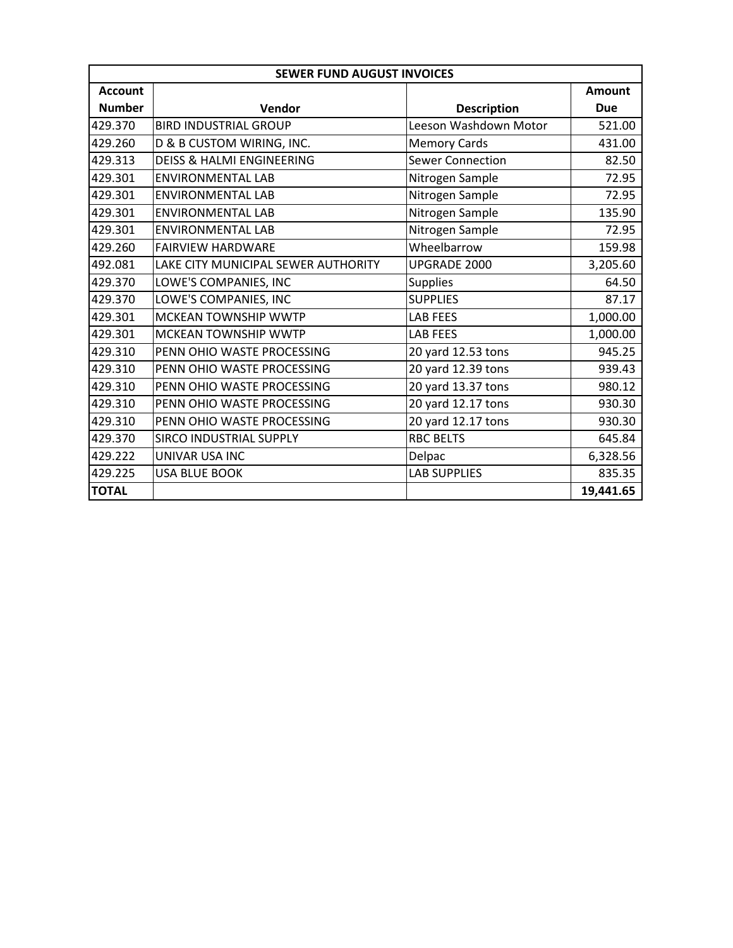| <b>SEWER FUND AUGUST INVOICES</b> |                                      |                         |               |  |  |  |
|-----------------------------------|--------------------------------------|-------------------------|---------------|--|--|--|
| <b>Account</b>                    |                                      |                         | <b>Amount</b> |  |  |  |
| <b>Number</b>                     | Vendor                               | <b>Description</b>      | <b>Due</b>    |  |  |  |
| 429.370                           | <b>BIRD INDUSTRIAL GROUP</b>         | Leeson Washdown Motor   | 521.00        |  |  |  |
| 429.260                           | D & B CUSTOM WIRING, INC.            | <b>Memory Cards</b>     | 431.00        |  |  |  |
| 429.313                           | <b>DEISS &amp; HALMI ENGINEERING</b> | <b>Sewer Connection</b> | 82.50         |  |  |  |
| 429.301                           | <b>ENVIRONMENTAL LAB</b>             | Nitrogen Sample         | 72.95         |  |  |  |
| 429.301                           | <b>ENVIRONMENTAL LAB</b>             | Nitrogen Sample         | 72.95         |  |  |  |
| 429.301                           | <b>ENVIRONMENTAL LAB</b>             | Nitrogen Sample         | 135.90        |  |  |  |
| 429.301                           | <b>ENVIRONMENTAL LAB</b>             | Nitrogen Sample         | 72.95         |  |  |  |
| 429.260                           | <b>FAIRVIEW HARDWARE</b>             | Wheelbarrow             | 159.98        |  |  |  |
| 492.081                           | LAKE CITY MUNICIPAL SEWER AUTHORITY  | UPGRADE 2000            | 3,205.60      |  |  |  |
| 429.370                           | LOWE'S COMPANIES, INC                | <b>Supplies</b>         | 64.50         |  |  |  |
| 429.370                           | LOWE'S COMPANIES, INC                | <b>SUPPLIES</b>         | 87.17         |  |  |  |
| 429.301                           | <b>MCKEAN TOWNSHIP WWTP</b>          | <b>LAB FEES</b>         | 1,000.00      |  |  |  |
| 429.301                           | <b>MCKEAN TOWNSHIP WWTP</b>          | <b>LAB FEES</b>         | 1,000.00      |  |  |  |
| 429.310                           | PENN OHIO WASTE PROCESSING           | 20 yard 12.53 tons      | 945.25        |  |  |  |
| 429.310                           | PENN OHIO WASTE PROCESSING           | 20 yard 12.39 tons      | 939.43        |  |  |  |
| 429.310                           | PENN OHIO WASTE PROCESSING           | 20 yard 13.37 tons      | 980.12        |  |  |  |
| 429.310                           | PENN OHIO WASTE PROCESSING           | 20 yard 12.17 tons      | 930.30        |  |  |  |
| 429.310                           | PENN OHIO WASTE PROCESSING           | 20 yard 12.17 tons      | 930.30        |  |  |  |
| 429.370                           | SIRCO INDUSTRIAL SUPPLY              | <b>RBC BELTS</b>        | 645.84        |  |  |  |
| 429.222                           | UNIVAR USA INC                       | Delpac                  | 6,328.56      |  |  |  |
| 429.225                           | <b>USA BLUE BOOK</b>                 | <b>LAB SUPPLIES</b>     | 835.35        |  |  |  |
| <b>TOTAL</b>                      |                                      |                         | 19,441.65     |  |  |  |